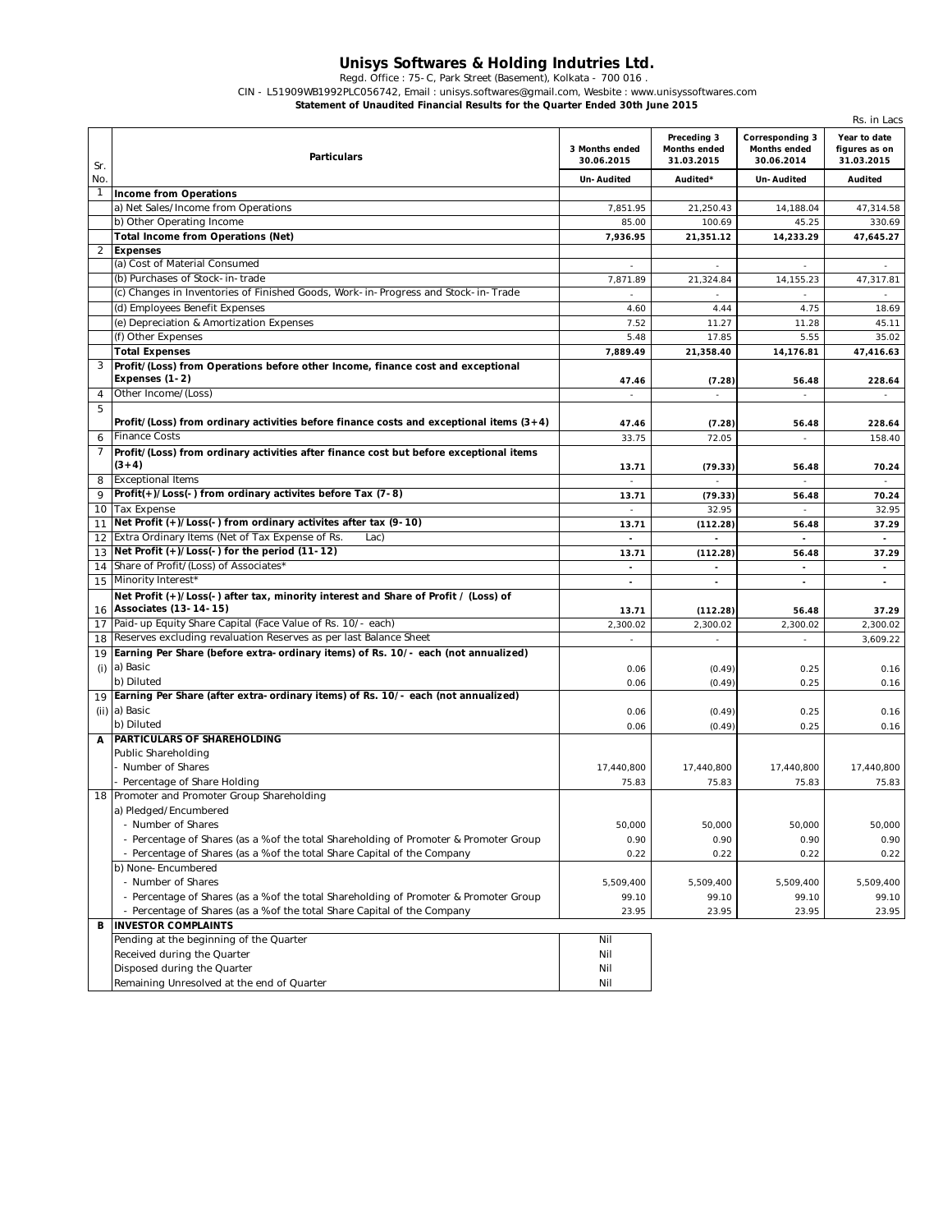## **Unisys Softwares & Holding Indutries Ltd.**

Regd. Office : 75-C, Park Street (Basement), Kolkata - 700 016 .

CIN - L51909WB1992PLC056742, Email : unisys.softwares@gmail.com, Wesbite : www.unisyssoftwares.com

**Statement of Unaudited Financial Results for the Quarter Ended 30th June 2015**

|                |                                                                                                             |                              |                                           |                                                             | Rs. in Lacs                                 |
|----------------|-------------------------------------------------------------------------------------------------------------|------------------------------|-------------------------------------------|-------------------------------------------------------------|---------------------------------------------|
| Sr.            | Particulars                                                                                                 | 3 Months ended<br>30.06.2015 | Preceding 3<br>Months ended<br>31.03.2015 | <b>Corresponding 3</b><br><b>Months ended</b><br>30.06.2014 | Year to date<br>figures as on<br>31.03.2015 |
| No.            |                                                                                                             | Un-Audited                   | Audited*                                  | Un-Audited                                                  | <b>Audited</b>                              |
| $\mathbf{1}$   | <b>Income from Operations</b>                                                                               |                              |                                           |                                                             |                                             |
|                | a) Net Sales/Income from Operations                                                                         | 7,851.95                     | 21,250.43                                 | 14,188.04                                                   | 47,314.58                                   |
|                | b) Other Operating Income                                                                                   | 85.00                        | 100.69                                    | 45.25                                                       | 330.69                                      |
|                | <b>Total Income from Operations (Net)</b>                                                                   | 7,936.95                     | 21,351.12                                 | 14,233.29                                                   | 47,645.27                                   |
| $\overline{c}$ | <b>Expenses</b>                                                                                             |                              |                                           |                                                             |                                             |
|                | (a) Cost of Material Consumed                                                                               |                              |                                           |                                                             |                                             |
|                | (b) Purchases of Stock-in-trade                                                                             | 7,871.89                     | 21,324.84                                 | 14,155.23                                                   | 47,317.81                                   |
|                | (c) Changes in Inventories of Finished Goods, Work-in-Progress and Stock-in-Trade                           | $\sim$                       |                                           |                                                             |                                             |
|                | (d) Employees Benefit Expenses                                                                              | 4.60                         | 4.44                                      | 4.75                                                        | 18.69                                       |
|                | (e) Depreciation & Amortization Expenses                                                                    | 7.52                         | 11.27                                     | 11.28                                                       | 45.11                                       |
|                | (f) Other Expenses                                                                                          | 5.48                         | 17.85                                     | 5.55                                                        | 35.02                                       |
|                | <b>Total Expenses</b>                                                                                       | 7,889.49                     | 21,358.40                                 | 14,176.81                                                   | 47,416.63                                   |
| 3              | Profit/(Loss) from Operations before other Income, finance cost and exceptional                             |                              |                                           |                                                             |                                             |
|                | Expenses (1-2)                                                                                              | 47.46                        | (7.28)                                    | 56.48                                                       | 228.64                                      |
| 4              | Other Income/(Loss)                                                                                         |                              |                                           |                                                             |                                             |
| 5              |                                                                                                             |                              |                                           |                                                             |                                             |
|                | Profit/(Loss) from ordinary activities before finance costs and exceptional items $(3+4)$                   | 47.46                        | (7.28)                                    | 56.48                                                       | 228.64                                      |
| 6              | <b>Finance Costs</b>                                                                                        | 33.75                        | 72.05                                     | $\overline{\phantom{a}}$                                    | 158.40                                      |
| 7              | Profit/(Loss) from ordinary activities after finance cost but before exceptional items                      |                              |                                           |                                                             |                                             |
|                | $(3+4)$                                                                                                     | 13.71                        | (79.33)                                   | 56.48                                                       | 70.24                                       |
| 8              | <b>Exceptional Items</b>                                                                                    |                              |                                           |                                                             |                                             |
| 9              | Profit(+)/Loss(-) from ordinary activites before Tax (7-8)                                                  | 13.71                        | (79.33)                                   | 56.48                                                       | 70.24                                       |
|                | 10 Tax Expense                                                                                              |                              | 32.95                                     | $\overline{a}$                                              | 32.95                                       |
| 11             | Net Profit (+)/Loss(-) from ordinary activites after tax (9-10)                                             | 13.71                        | (112.28)                                  | 56.48                                                       | 37.29                                       |
|                | 12 Extra Ordinary Items (Net of Tax Expense of Rs.<br>Lac)                                                  |                              |                                           |                                                             |                                             |
| 13             | Net Profit (+)/Loss(-) for the period (11-12)                                                               | 13.71                        | (112.28)                                  | 56.48                                                       | 37.29                                       |
| 14             | Share of Profit/(Loss) of Associates*                                                                       |                              |                                           |                                                             | $\overline{\phantom{a}}$                    |
|                | 15 Minority Interest'                                                                                       |                              |                                           |                                                             |                                             |
|                | Net Profit (+)/Loss(-) after tax, minority interest and Share of Profit / (Loss) of                         |                              |                                           |                                                             |                                             |
|                | 16 Associates (13-14-15)                                                                                    | 13.71                        | (112.28)                                  | 56.48                                                       | 37.29                                       |
| 17             | Paid-up Equity Share Capital (Face Value of Rs. 10/- each)                                                  | 2,300.02                     | 2,300.02                                  | 2,300.02                                                    | 2,300.02                                    |
| 18             | Reserves excluding revaluation Reserves as per last Balance Sheet                                           | $\overline{a}$               | $\sim$                                    | $\sim$                                                      | 3,609.22                                    |
| 19             | Earning Per Share (before extra-ordinary items) of Rs. 10/- each (not annualized)                           |                              |                                           |                                                             |                                             |
| (i)            | a) Basic                                                                                                    | 0.06                         | (0.49)                                    | 0.25                                                        | 0.16                                        |
|                | b) Diluted                                                                                                  | 0.06                         | (0.49)                                    | 0.25                                                        | 0.16                                        |
|                | 19 Earning Per Share (after extra-ordinary items) of Rs. 10/- each (not annualized)                         |                              |                                           |                                                             |                                             |
|                | (ii) a) Basic                                                                                               | 0.06                         | (0.49)                                    | 0.25                                                        | 0.16                                        |
|                | b) Diluted<br><b>IPARTICULARS OF SHAREHOLDING</b>                                                           | 0.06                         | (0.49)                                    | 0.25                                                        | 0.16                                        |
|                |                                                                                                             |                              |                                           |                                                             |                                             |
|                | Public Shareholding<br>- Number of Shares                                                                   |                              |                                           |                                                             |                                             |
|                | - Percentage of Share Holding                                                                               | 17,440,800                   | 17,440,800                                | 17,440,800                                                  | 17,440,800                                  |
|                | 18 Promoter and Promoter Group Shareholding                                                                 | 75.83                        | 75.83                                     | 75.83                                                       | 75.83                                       |
|                | a) Pledged/Encumbered                                                                                       |                              |                                           |                                                             |                                             |
|                |                                                                                                             |                              |                                           |                                                             |                                             |
|                | - Number of Shares<br>- Percentage of Shares (as a % of the total Shareholding of Promoter & Promoter Group | 50,000<br>0.90               | 50,000<br>0.90                            | 50,000<br>0.90                                              | 50,000<br>0.90                              |
|                |                                                                                                             |                              |                                           |                                                             |                                             |
|                | - Percentage of Shares (as a % of the total Share Capital of the Company<br>b) None-Encumbered              | 0.22                         | 0.22                                      | 0.22                                                        | 0.22                                        |
|                | - Number of Shares                                                                                          | 5,509,400                    | 5,509,400                                 | 5,509,400                                                   | 5,509,400                                   |
|                | - Percentage of Shares (as a % of the total Shareholding of Promoter & Promoter Group                       | 99.10                        | 99.10                                     | 99.10                                                       | 99.10                                       |
|                | - Percentage of Shares (as a % of the total Share Capital of the Company                                    | 23.95                        | 23.95                                     | 23.95                                                       | 23.95                                       |
| B              | <b>INVESTOR COMPLAINTS</b>                                                                                  |                              |                                           |                                                             |                                             |
|                | Pending at the beginning of the Quarter                                                                     | Nil                          |                                           |                                                             |                                             |
|                | Received during the Quarter                                                                                 | Nil                          |                                           |                                                             |                                             |
|                | Disposed during the Quarter                                                                                 | Nil                          |                                           |                                                             |                                             |
|                |                                                                                                             |                              |                                           |                                                             |                                             |
|                | Remaining Unresolved at the end of Quarter                                                                  | Nil                          |                                           |                                                             |                                             |